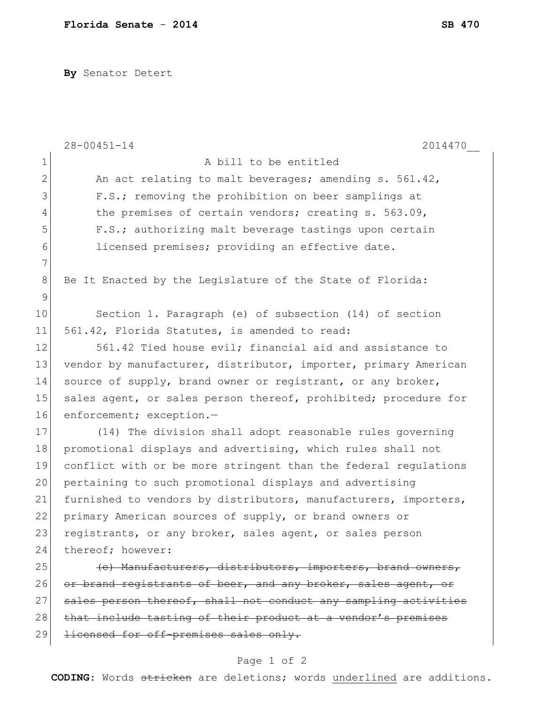**By** Senator Detert

|               | $28 - 00451 - 14$<br>2014470                                    |
|---------------|-----------------------------------------------------------------|
| 1             | A bill to be entitled                                           |
| $\mathbf{2}$  | An act relating to malt beverages; amending s. 561.42,          |
| 3             | F.S.; removing the prohibition on beer samplings at             |
| 4             | the premises of certain vendors; creating s. 563.09,            |
| 5             | F.S.; authorizing malt beverage tastings upon certain           |
| 6             | licensed premises; providing an effective date.                 |
| 7             |                                                                 |
| 8             | Be It Enacted by the Legislature of the State of Florida:       |
| $\mathcal{G}$ |                                                                 |
| 10            | Section 1. Paragraph (e) of subsection (14) of section          |
| 11            | 561.42, Florida Statutes, is amended to read:                   |
| 12            | 561.42 Tied house evil; financial aid and assistance to         |
| 13            | vendor by manufacturer, distributor, importer, primary American |
| 14            | source of supply, brand owner or registrant, or any broker,     |
| 15            | sales agent, or sales person thereof, prohibited; procedure for |
| 16            | enforcement; exception.-                                        |
| 17            | (14) The division shall adopt reasonable rules governing        |
| 18            | promotional displays and advertising, which rules shall not     |
| 19            | conflict with or be more stringent than the federal regulations |
| 20            | pertaining to such promotional displays and advertising         |
| 21            | furnished to vendors by distributors, manufacturers, importers, |
| 22            | primary American sources of supply, or brand owners or          |
| 23            | registrants, or any broker, sales agent, or sales person        |
| 24            | thereof; however:                                               |
| 25            | (e) Manufacturers, distributors, importers, brand owners,       |
| 26            | or brand registrants of beer, and any broker, sales agent, or   |
| 27            | sales person thereof, shall not conduct any sampling activities |
| 28            | that include tasting of their product at a vendor's premises    |
| 29            | licensed for off-premises sales only.                           |
|               |                                                                 |

## Page 1 of 2

**CODING**: Words stricken are deletions; words underlined are additions.